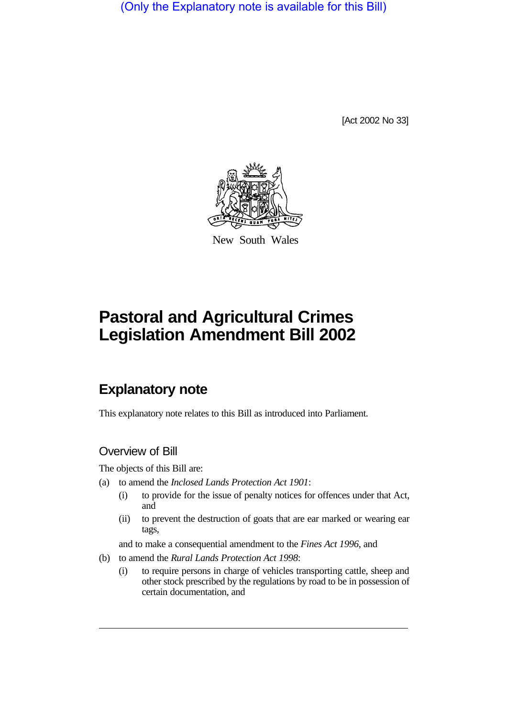(Only the Explanatory note is available for this Bill)

[Act 2002 No 33]



New South Wales

# **Pastoral and Agricultural Crimes Legislation Amendment Bill 2002**

# **Explanatory note**

This explanatory note relates to this Bill as introduced into Parliament.

# Overview of Bill

The objects of this Bill are:

- (a) to amend the *Inclosed Lands Protection Act 1901*:
	- (i) to provide for the issue of penalty notices for offences under that Act, and
	- (ii) to prevent the destruction of goats that are ear marked or wearing ear tags,

and to make a consequential amendment to the *Fines Act 1996*, and

- (b) to amend the *Rural Lands Protection Act 1998*:
	- (i) to require persons in charge of vehicles transporting cattle, sheep and other stock prescribed by the regulations by road to be in possession of certain documentation, and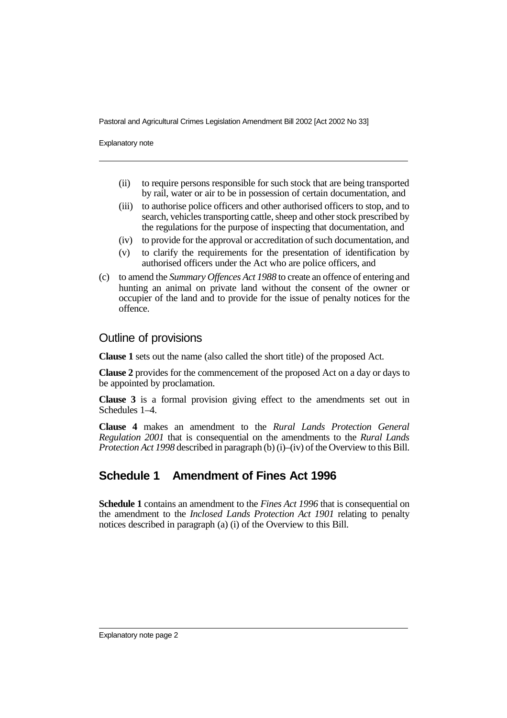Pastoral and Agricultural Crimes Legislation Amendment Bill 2002 [Act 2002 No 33]

Explanatory note

- (ii) to require persons responsible for such stock that are being transported by rail, water or air to be in possession of certain documentation, and
- (iii) to authorise police officers and other authorised officers to stop, and to search, vehicles transporting cattle, sheep and other stock prescribed by the regulations for the purpose of inspecting that documentation, and
- (iv) to provide for the approval or accreditation of such documentation, and
- (v) to clarify the requirements for the presentation of identification by authorised officers under the Act who are police officers, and
- (c) to amend the *Summary Offences Act 1988* to create an offence of entering and hunting an animal on private land without the consent of the owner or occupier of the land and to provide for the issue of penalty notices for the offence.

#### Outline of provisions

**Clause 1** sets out the name (also called the short title) of the proposed Act.

**Clause 2** provides for the commencement of the proposed Act on a day or days to be appointed by proclamation.

**Clause 3** is a formal provision giving effect to the amendments set out in Schedules 1–4.

**Clause 4** makes an amendment to the *Rural Lands Protection General Regulation 2001* that is consequential on the amendments to the *Rural Lands Protection Act 1998* described in paragraph (b) (i)–(iv) of the Overview to this Bill.

# **Schedule 1 Amendment of Fines Act 1996**

**Schedule 1** contains an amendment to the *Fines Act 1996* that is consequential on the amendment to the *Inclosed Lands Protection Act 1901* relating to penalty notices described in paragraph (a) (i) of the Overview to this Bill.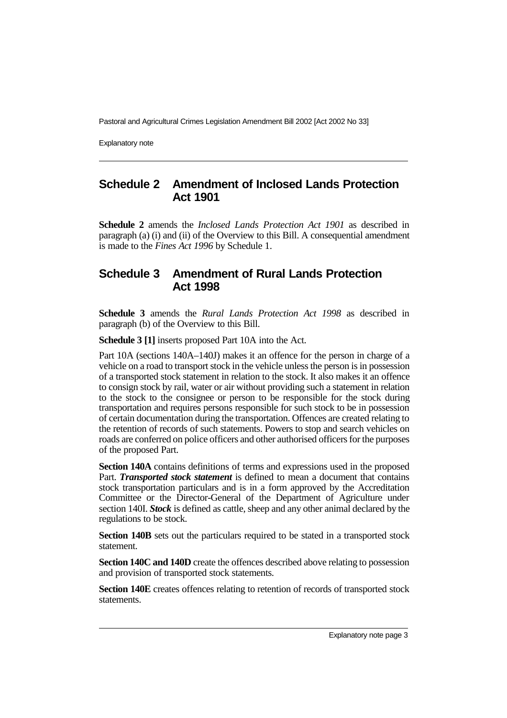Pastoral and Agricultural Crimes Legislation Amendment Bill 2002 [Act 2002 No 33]

Explanatory note

# **Schedule 2 Amendment of Inclosed Lands Protection Act 1901**

**Schedule 2** amends the *Inclosed Lands Protection Act 1901* as described in paragraph (a) (i) and (ii) of the Overview to this Bill. A consequential amendment is made to the *Fines Act 1996* by Schedule 1.

# **Schedule 3 Amendment of Rural Lands Protection Act 1998**

**Schedule 3** amends the *Rural Lands Protection Act 1998* as described in paragraph (b) of the Overview to this Bill.

**Schedule 3 [1]** inserts proposed Part 10A into the Act.

Part 10A (sections 140A–140J) makes it an offence for the person in charge of a vehicle on a road to transport stock in the vehicle unless the person is in possession of a transported stock statement in relation to the stock. It also makes it an offence to consign stock by rail, water or air without providing such a statement in relation to the stock to the consignee or person to be responsible for the stock during transportation and requires persons responsible for such stock to be in possession of certain documentation during the transportation. Offences are created relating to the retention of records of such statements. Powers to stop and search vehicles on roads are conferred on police officers and other authorised officers for the purposes of the proposed Part.

**Section 140A** contains definitions of terms and expressions used in the proposed Part. *Transported stock statement* is defined to mean a document that contains stock transportation particulars and is in a form approved by the Accreditation Committee or the Director-General of the Department of Agriculture under section 140I. *Stock* is defined as cattle, sheep and any other animal declared by the regulations to be stock.

**Section 140B** sets out the particulars required to be stated in a transported stock statement.

**Section 140C and 140D** create the offences described above relating to possession and provision of transported stock statements.

**Section 140E** creates offences relating to retention of records of transported stock statements.